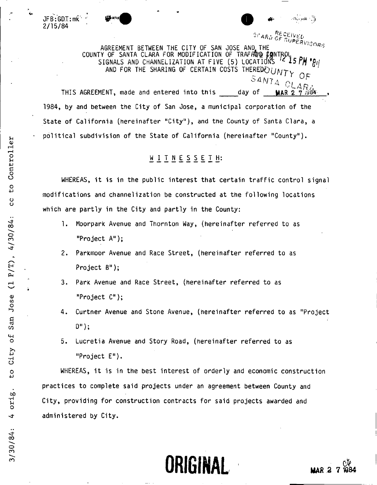

 $\mathsf{JFB}$  : <code>GD.T</code> : mk 2/15/84 **Williams 2016** 

<sup>27</sup>ARD CENTREMENT BETWEEN THE CITY OF SAN JOSE AND THE CARD CENTREMENT BETWEEN THE CITY OF SAN JOSE AND THE COUNTY OF SANTA CLARA FOR MODIFICATION OF TRAFFARR PHOTIPUL, SIGNALS AND CHANNELIZATION AT FIVE (5) LOCATIONS ^^ \ AND FOR THE SHARING OF CERTAIN COSTS THEREDEOUNTY  $^{\circ}$ 4M7  $_{\rm A}$  $\cup$   $\cup$   $\cup$   $\cup$   $\cap$ 

THIS AGREEMENT, made and entered into this day of 1984, by and between the City of San Jose, a municipal corporation of the State of California (hereinafter "City"), and the County of Santa Clara, a  $\mathsf{true}$  state of California (nerefination "County"),

# <u>WITNESSETH</u>:

WHEREAS, it is in the public interest that certain traffic control signal modifications and channelization be constructed at the following locations which are partly in the City and partly in the County:

- 1. Moorpark Avenue and Thornton Way, (hereinafter referred to as "Project A");
- 2. Parkmoor Avenue and Race Street, (hereinafter referred to as Project B");
- 3. Park Avenue and Race Street, (hereinafter referred to as "Project C");
- 4. Curtner Avenue and Stone Avenue, (hereinafter referred to as "Project  $D^{\prime\prime}$ );
- 5. Lucretia Avenue and Story Road, (hereinafter referred to as "Project E").

WHEREAS, it is in the best interest of orderly and economic construction practices to complete said projects under an agreement between County and City, providing for construction contracts for said projects awarded and administered by City.



 $\overline{\phantom{0}}$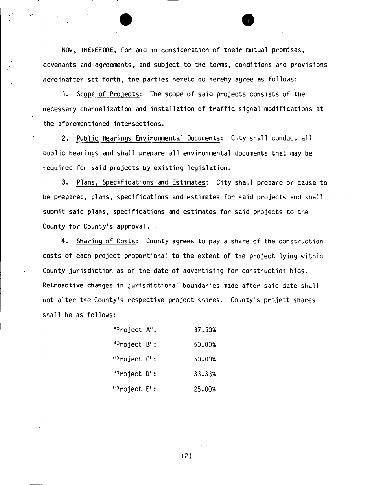NOW, THEREFORE, for and in consideration of their mutual promises, covenants and agreements, and subject to the terms, conditions and provisions hereinafter set forth, the parties hereto do hereby agree as follows:

1. Scope of Projects: The scope of said projects consists of the necessary channelization and installation of traffic signal modifications at the aforementioned intersections.

2. Public Hearings Environmental Documents: City shall conduct all public hearings and shall prepare all environmental documents that may be required for said projects by existing legislation.

3. Plans, Specifications and Estimates: City shall prepare or cause to be prepared, plans, specifications and estimates for said projects and shall submit said plans, specifications and estimates for said projects to the County for County's approval.

4. Sharing of Costs: County agrees to pay a share of the construction costs of each project proportional to the extent of the project lying within County jurisdiction as of the date of advertising for construction bids. Retroactive changes in jurisdictional boundaries made after said date shall not alter the County's respective project shares. County's project shares shall be as follows:

| "Project A":    | 37.50% |
|-----------------|--------|
| "Project $B$ ": | 50.00% |
| "Project C":    | 50.00% |
| "Project D":    | 33.33% |
| "Project E":    | 25.00% |

(2)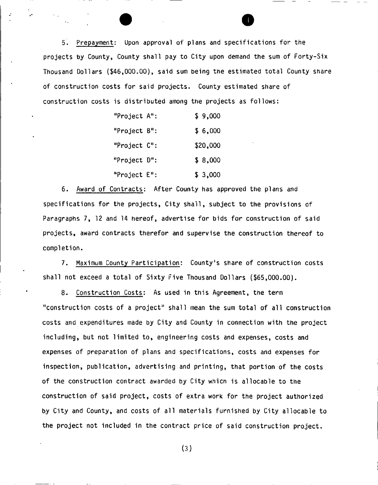5. Prepayment: Upon approval of plans and specifications for the projects by County, County shall pay to City upon demand the sum of Forty-Six Thousand Dollars (\$46,000.00), said sum being the estimated total County share of construction costs for said projects. County estimated share of construction costs is distributed among the projects as follows:

| "Project A": | \$9,000  |
|--------------|----------|
| "Project B": | \$6,000  |
| "Project C": | \$20,000 |
| "Project D": | \$8,000  |
| "Project E": | \$3,000  |

6. Award of Contracts: After County has approved the plans and specifications for the projects, City shall, subject to the provisions of Paragraphs 7, 12 and 14 hereof, advertise for bids for construction of said projects, award contracts therefor and supervise the construction thereof to completion.

7. Maximum County Participation: County's share of construction costs shall not exceed a total of Sixty Five Thousand Dollars (\$65,000.00).

8. Construction Costs: As used in this Agreement, the term "construction costs of a project" shall mean the sum total of all construction costs and expenditures made by City and County in connection with the project including, but not limited to, engineering costs and expenses, costs and expenses of preparation of plans and specifications, costs and expenses for inspection, publication, advertising and printing, that portion of the costs of the construction contract awarded by City which is allocable to the construction of said project, costs of extra work for the project authorized by City and County, and costs of all materials furnished by City allocable to the project not included in the contract price of said construction project.

(3)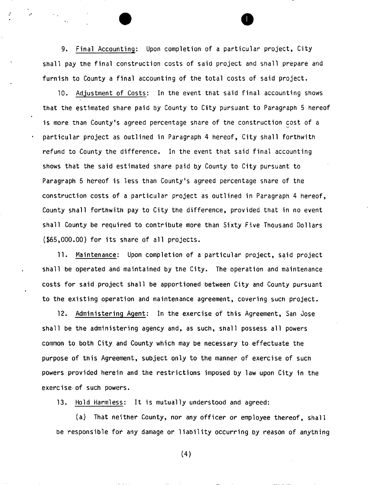9. Final Accounting: Upon completion of a particular project, City shall pay the final construction costs of said project and shall prepare and furnish to County a final accounting of the total costs of said project.

10. Adjustment of Costs: In the event that said final accounting shows that the estimated share paid by County to City pursuant to Paragraph 5 hereof is more than County's agreed percentage share of the construction cost of a particular project as outlined in Paragraph 4 hereof, City shall forthwith refund to County the difference. In the event that said final accounting shows that the said estimated share paid by County to City pursuant to Paragraph 5 hereof is less than County's agreed percentage share of the construction costs of a particular project as outlined in Paragraph 4 hereof. County shall forthwith pay to City the difference, provided that in no event shall County be required to contribute more than Sixty Five Thousand Dollars  $($ \$65,000.00) for its share of all projects.

11. Maintenance: Upon completion of a particular project, said project shall be operated and maintained by the City. The operation and maintenance costs for said project shall be apportioned between City and County pursuant to the existing operation and maintenance agreement, covering such project.

12. Administering Agent: In the exercise of this Agreement, San Jose shall be the administering agency and, as such, shall possess all powers common to both City and County which may be necessary to effectuate the purpose of this Agreement, subject only to the manner of exercise of such powers provided herein and the restrictions imposed by law upon City in the exercise of such powers.

13. Hold Harmless: It is mutually understood and agreed:

(a) That neither County, nor any officer or employee thereof, shall be responsible for any damage or liability occurring by reason of anything

(4)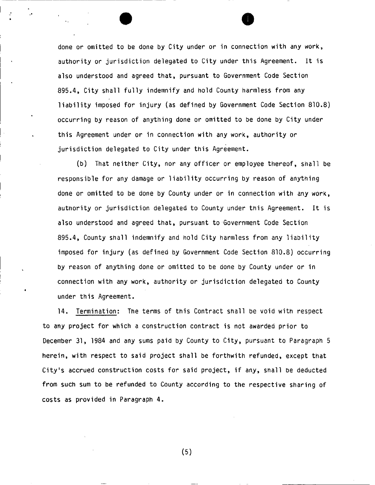done or omitted to be done by City under or in connection with any work, authority or jurisdiction delegated to City under this Agreement. It is also understood and agreed that, pursuant to Government Code Section 895.4, City shall fully indemnify and hold County harmless from any liability imposed for injury (as defined by Government Code Section 810.8) occurring by reason of anything done or omitted to be done by City under this Agreement under or in connection with any work, authority or jurisdiction delegated to City under this Agreement.

(b) That neither City, nor any officer or employee thereof, shall be responsible for any damage or liability occurring by reason of anything done or omitted to be done by County under or in connection with any work, authority or jurisdiction delegated to County under this Agreement. It is also understood and agreed that, pursuant to Government Code Section 895.4, County shall indemnify and hold City harmless from any liability imposed for injury (as defined by Government Code Section 810.8) occurring by reason of anything done or omitted to be done by County under or in connection with any work, authority or jurisdiction delegated to County under this Agreement.

14. Termination: The terms of this Contract shall be void with respect to any project for which a construction contract is not awarded prior to December 31, 1984 and any sums paid by County to City, pursuant to Paragraph 5 herein, with respect to said project shall be forthwith refunded, except that City's accrued construction costs for said project, if any, shall be deducted from such sum to be refunded to County according to the respective sharing of costs as provided in Paragraph 4.

(5)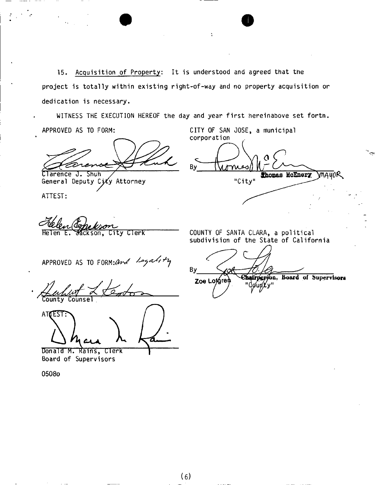15, Acquisition of Property: It is understood and agreed that the project is totally within existing right-of-way and no property acquisition or dedication is necessary.

Ý.

WITNESS THE EXECUTION HEREOF the day and year first hereinabove set forth. APPROVED AS TO FORM: CITY OF SAN JOSE, a municipal

Clarence J. Shuh

General Deputy City Attorney

ATTEST

Helen E. Jackson, City Clerk

corporation

rnies/ **Shomas McEnery VA40R** 'City'

COUNTY OF SANTA CLARA, a political subdivision of the State of California

APPROVED AS TO FORM: and  $\sqrt{2\pi a\ln b}$ 

County Counsel

ATCEST: *CJLA,* \

Donald M. Rains, Clerk Board of Supervisors

0508o

 $By$ 

Chairperson, Board of Supervisors **Zoe**  gunty"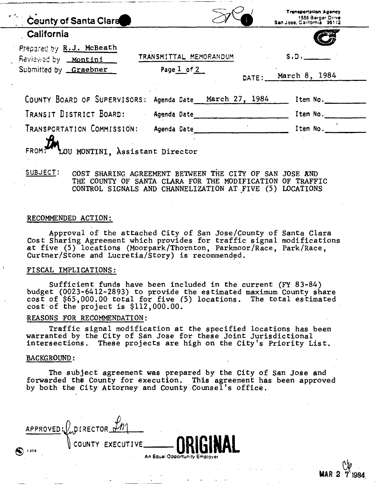| County of Santa Clara                                                           |                                           | <b>Trensportation Agency</b><br>1555 Berger Drive<br>San Jose, California 95112 |
|---------------------------------------------------------------------------------|-------------------------------------------|---------------------------------------------------------------------------------|
| California                                                                      |                                           |                                                                                 |
| Prepared by R.J. McBeath<br>Reviewed by <u>Montini</u><br>Submitted by Graebner | TRANSMITTAL MEMORANDUM<br>Page $1$ of $2$ | S.D.<br>March 8, 1984<br>DATE:                                                  |
| COUNTY BOARD OF SUPERVISORS:                                                    | Agenda Date March 27, 1984                | Item No.                                                                        |
| TRANSIT DISTRICT BOARD:                                                         | Agenda Date                               | Item No.                                                                        |
| TRANSPORTATION COMMISSION:<br>LOU MONTINI, Assistant Director<br>FROM:          | Agenda Date                               | Item No.                                                                        |

# **SUBJECT: COST SHARING AGREEMENT BETWEEN THE CITY OF SAN JOSE AND THE COUNTY OF SANTA CLARA FOR THE MODIFICATION OF TRAFFIC CONTROL SIGNALS AND CHANNELIZATION AT FIVE (5) LOCATIONS**

## **RECOMMENDED ACTION:**

**Approval of the attached City of San Jose/County of Santa Clara Cost Sharing Agreement which provides for traffic signal modifications at five (5) locations (Moorpark/Thornton, Parkmoor/Race, Park/Race, Curtner/Stone and Lucretia/Story) is recommended.** 

#### **FISCAL IMPLICATIONS:**

**Sufficient funds have been included in the current (FY 83-84) budget (0023-6412-2893) to provide the estimated maximum County share cost of \$65,000.00 total for five (5) locations. The total estimated cost of the project is \$112,000.00.** 

#### **REASONS FOR RECOMMENDATION:**

**Traffic signal modification at the specified locations has been warranted by the City of San Jose for these Joint Jurisdictional intersections. These projects are high on the City's Priority List.** 

#### **BACKGROUND:**

**The subject agreement was prepared by the City of San Jose and forwarded the County for execution. This agreement has been approved by both the City Attorney and County Counsel's office.** 

|             | APPROVED: LOURECTOR LM |                                                                    |
|-------------|------------------------|--------------------------------------------------------------------|
| Q)<br>1.308 |                        | N COUNTY EXECUTIVE _____ ORIGINAL<br>An Equal Opportunity Employer |